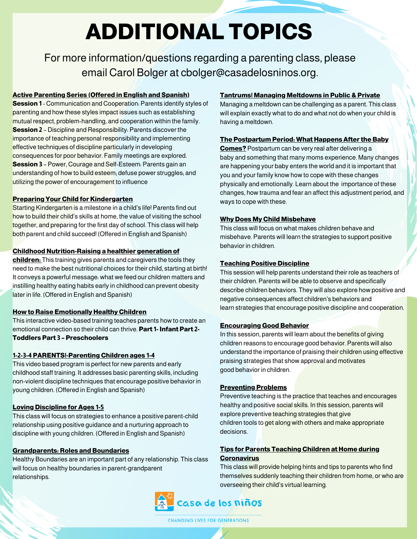# **ADDITIONAL TOPICS**

For more information/questions regarding a parenting class, please email Carol Bolger at cbolger@casadelosninos.org.

#### **Active Parenting Series (Offered in English and Spanish)**

**Session 1** - Communication and Cooperation: Parents identify styles of parenting and how these styles impact issues such as establishing mutual respect, problem-handling, and cooperation within the family. **Session 2** – Discipline and Responsibility: Parents discover the importance of teaching personal responsibility and implementing effective techniques of discipline particularly in developing consequences for poor behavior. Family meetings are explored. **Session 3** – Power, Courage and Self-Esteem: Parents gain an understanding of how to build esteem; defuse power struggles; and utilizing the power of encouragement to influence

#### **Preparing Your Child for Kindergarten**

Starting Kindergarten is a milestone in a child's life! Parents find out how to build their child's skills at home, the value of visiting the school together, and preparing for the first day of school. This class will help both parent and child succeed! (Offered in English and Spanish)

#### **Childhood Nutrition-Raising a healthier generation of**

**children:** This training gives parents and caregivers the tools they need to make the best nutritional choices for their child, starting at birth! It conveys a powerful message: what we feed our children matters and instilling healthy eating habits early in childhood can prevent obesity later in life. (Offered in English and Spanish)

#### **How to Raise Emotionally Healthy Children**

This interactive video-based training teaches parents how to create an emotional connection so their child can thrive. **Part 1- Infant Part 2- Toddlers Part 3 – Preschoolers**

#### **1-2-3-4 PARENTS!-Parenting Children ages 1-4**

This video based program is perfect for new parents and early childhood staff training. It addresses basic parenting skills, including non-violent discipline techniques that encourage positive behavior in young children. (Offered in English and Spanish)

#### **Loving Discipline for Ages 1-5**

This class will focus on strategies to enhance a positive parent-child relationship using positive guidance and a nurturing approach to discipline with young children. (Offered in English and Spanish)

#### **Grandparents: Roles and Boundaries**

Healthy Boundaries are an important part of any relationship. This class will focus on healthy boundaries in parent-grandparent relationships.

#### **Tantrums! Managing Meltdowns in Public & Private**

Managing a meltdown can be challenging as a parent. This class will explain exactly what to do and what not do when your child is having a meltdown.

#### **The Postpartum Period: What Happens After the Baby**

**Comes?** Postpartum can be very real after delivering a baby and something that many moms experience. Many changes are happening your baby enters the world and it is important that you and your family know how to cope with these changes physically and emotionally. Learn about the importance of these changes, how trauma and fear an affect this adjustment period, and ways to cope with these.

#### **Why Does My Child Misbehave**

This class will focus on what makes children behave and misbehave. Parents will learn the strategies to support positive behavior in children.

#### **Teaching Positive Discipline**

This session will help parents understand their role as teachers of their children. Parents will be able to observe and specifically describe children behaviors. They will also explore how positive and negative consequences affect children's behaviors and learn strategies that encourage positive discipline and cooperation.

#### **Encouraging Good Behavior**

In this session, parents will learn about the benefits of giving children reasons to encourage good behavior. Parents will also understand the importance of praising their children using effective praising strategies that show approval and motivates good behavior in children.

#### **Preventing Problems**

Preventive teaching is the practice that teaches and encourages healthy and positive social skills. In this session, parents will explore preventive teaching strategies that give children tools to get along with others and make appropriate decisions.

#### **Tips for Parents Teaching Children at Home during Coronavirus**

This class will provide helping hints and tips to parents who find themselves suddenly teaching their children from home, or who are overseeing their child's virtual learning.



**CHANGING LIVES FOR GENERATIONS**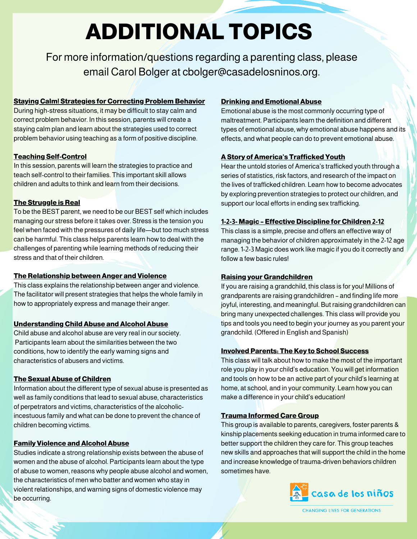# **ADDITIONAL TOPICS**

For more information/questions regarding a parenting class, please email Carol Bolger at cbolger@casadelosninos.org.

### **Staying Calm! Strategies for Correcting Problem Behavior**

During high-stress situations, it may be difficult to stay calm and correct problem behavior. In this session, parents will create a staying calm plan and learn about the strategies used to correct problem behavior using teaching as a form of positive discipline.

# **Teaching Self-Control**

In this session, parents will learn the strategies to practice and teach self-control to their families. This important skill allows children and adults to think and learn from their decisions.

# **The Struggle is Real**

To be the BEST parent, we need to be our BEST self which includes managing our stress before it takes over. Stress is the tension you feel when faced with the pressures of daily life—but too much stress can be harmful. This class helps parents learn how to deal with the challenges of parenting while learning methods of reducing their stress and that of their children.

#### **The Relationship between Anger and Violence**

This class explains the relationship between anger and violence. The facilitator will present strategies that helps the whole family in how to appropriately express and manage their anger.

#### **Understanding Child Abuse and Alcohol Abuse**

Child abuse and alcohol abuse are very real in our society. Participants learn about the similarities between the two conditions, how to identify the early warning signs and characteristics of abusers and victims.

# **The Sexual Abuse of Children**

Information about the different type of sexual abuse is presented as well as family conditions that lead to sexual abuse, characteristics of perpetrators and victims, characteristics of the alcoholicincestuous family and what can be done to prevent the chance of children becoming victims.

#### **Family Violence and Alcohol Abuse**

Studies indicate a strong relationship exists between the abuse of women and the abuse of alcohol. Participants learn about the type of abuse to women, reasons why people abuse alcohol and women, the characteristics of men who batter and women who stay in violent relationships, and warning signs of domestic violence may be occurring.

# **Drinking and Emotional Abuse**

Emotional abuse is the most commonly occurring type of maltreatment. Participants learn the definition and different types of emotional abuse, why emotional abuse happens and its effects, and what people can do to prevent emotional abuse.

# **A Story of America's Trafficked Youth**

Hear the untold stories of America's trafficked youth through a series of statistics, risk factors, and research of the impact on the lives of trafficked children. Learn how to become advocates by exploring prevention strategies to protect our children, and support our local efforts in ending sex trafficking.

#### **1-2-3- Magic – Effective Discipline for Children 2-12**

This class is a simple, precise and offers an effective way of managing the behavior of children approximately in the 2-12 age range. 1-2-3 Magic does work like magic if you do it correctly and follow a few basic rules!

#### **Raising your Grandchildren**

If you are raising a grandchild, this class is for you! Millions of grandparents are raising grandchildren – and finding life more joyful, interesting, and meaningful. But raising grandchildren can bring many unexpected challenges. This class will provide you tips and tools you need to begin your journey as you parent your grandchild. (Offered in English and Spanish)

#### **Involved Parents: The Key to School Success**

This class will talk about how to make the most of the important role you play in your child's education. You will get information and tools on how to be an active part of your child's learning at home, at school, and in your community. Learn how you can make a difference in your child's education!

# **Trauma Informed Care Group**

This group is available to parents, caregivers, foster parents & kinship placements seeking education in truma informed care to better support the children they care for. This group teaches new skills and approaches that will support the child in the home and increase knowledge of trauma-driven behaviors children sometimes have.



**CHANGING LIVES FOR GENERATIONS**